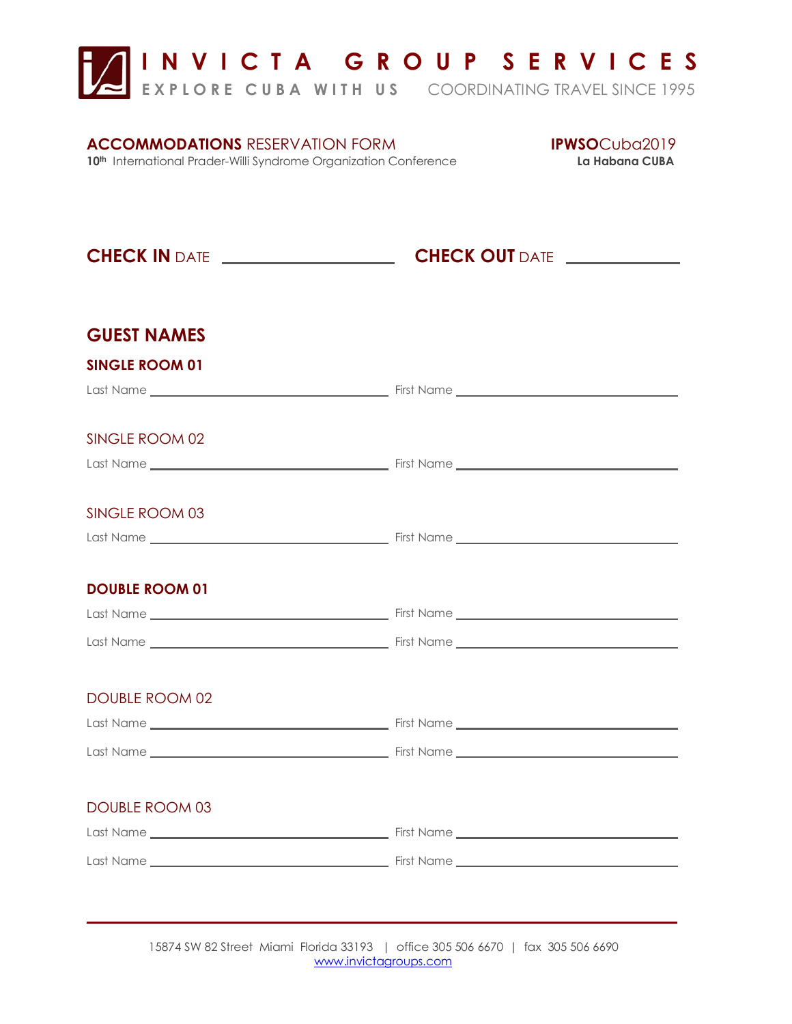**I N V I C T A G R O U P S E R V I C E S** 

**E X P L O R E C U B A W I T H U S** COORDINATING TRAVEL SINCE 1995

## **ACCOMMODATIONS** RESERVATION FORM **IPWSO**Cuba2019

**10th International Prader-Willi Syndrome Organization Conference La Habana CUBA** 

|                       | <b>CHECK IN</b> DATE <b><i>____________________</i>_____CHECK OUT</b> DATE <i>_____________</i> |  |
|-----------------------|-------------------------------------------------------------------------------------------------|--|
| <b>GUEST NAMES</b>    |                                                                                                 |  |
| <b>SINGLE ROOM 01</b> |                                                                                                 |  |
|                       |                                                                                                 |  |
| SINGLE ROOM 02        |                                                                                                 |  |
|                       |                                                                                                 |  |
| SINGLE ROOM 03        |                                                                                                 |  |
|                       |                                                                                                 |  |
| <b>DOUBLE ROOM 01</b> |                                                                                                 |  |
|                       |                                                                                                 |  |
|                       |                                                                                                 |  |
| <b>DOUBLE ROOM 02</b> |                                                                                                 |  |
|                       |                                                                                                 |  |
|                       |                                                                                                 |  |
| <b>DOUBLE ROOM 03</b> |                                                                                                 |  |
|                       |                                                                                                 |  |
|                       |                                                                                                 |  |

15874 SW 82 Street Miami Florida 33193 | office 305 506 6670 | fax 305 506 6690 [www.invictagroups.com](http://www.invictagroups.com/) 

 $\frac{1}{2}$